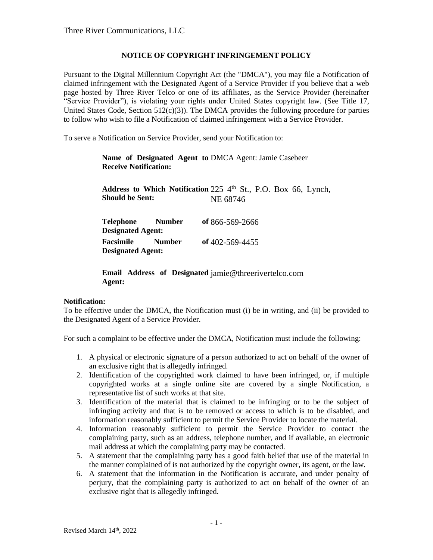## **NOTICE OF COPYRIGHT INFRINGEMENT POLICY**

Pursuant to the Digital Millennium Copyright Act (the "DMCA"), you may file a Notification of claimed infringement with the Designated Agent of a Service Provider if you believe that a web page hosted by Three River Telco or one of its affiliates, as the Service Provider (hereinafter "Service Provider"), is violating your rights under United States copyright law. (See Title 17, United States Code, Section  $512(c)(3)$ ). The DMCA provides the following procedure for parties to follow who wish to file a Notification of claimed infringement with a Service Provider.

To serve a Notification on Service Provider, send your Notification to:

**Name of Designated Agent to**  DMCA Agent: Jamie Casebeer **Receive Notification:**

Address to Which Notification 225 4<sup>th</sup> St., P.O. Box 66, Lynch, **Should be Sent:** NE 68746

| Telephone<br><b>Designated Agent:</b> | <b>Number</b> | of 866-569-2666 |
|---------------------------------------|---------------|-----------------|
| Facsimile                             | <b>Number</b> | of 402-569-4455 |
| <b>Designated Agent:</b>              |               |                 |

**Email Address of Designated**  jamie@threerivertelco.com **Agent:**

## **Notification:**

To be effective under the DMCA, the Notification must (i) be in writing, and (ii) be provided to the Designated Agent of a Service Provider.

For such a complaint to be effective under the DMCA, Notification must include the following:

- 1. A physical or electronic signature of a person authorized to act on behalf of the owner of an exclusive right that is allegedly infringed.
- 2. Identification of the copyrighted work claimed to have been infringed, or, if multiple copyrighted works at a single online site are covered by a single Notification, a representative list of such works at that site.
- 3. Identification of the material that is claimed to be infringing or to be the subject of infringing activity and that is to be removed or access to which is to be disabled, and information reasonably sufficient to permit the Service Provider to locate the material.
- 4. Information reasonably sufficient to permit the Service Provider to contact the complaining party, such as an address, telephone number, and if available, an electronic mail address at which the complaining party may be contacted.
- 5. A statement that the complaining party has a good faith belief that use of the material in the manner complained of is not authorized by the copyright owner, its agent, or the law.
- 6. A statement that the information in the Notification is accurate, and under penalty of perjury, that the complaining party is authorized to act on behalf of the owner of an exclusive right that is allegedly infringed.